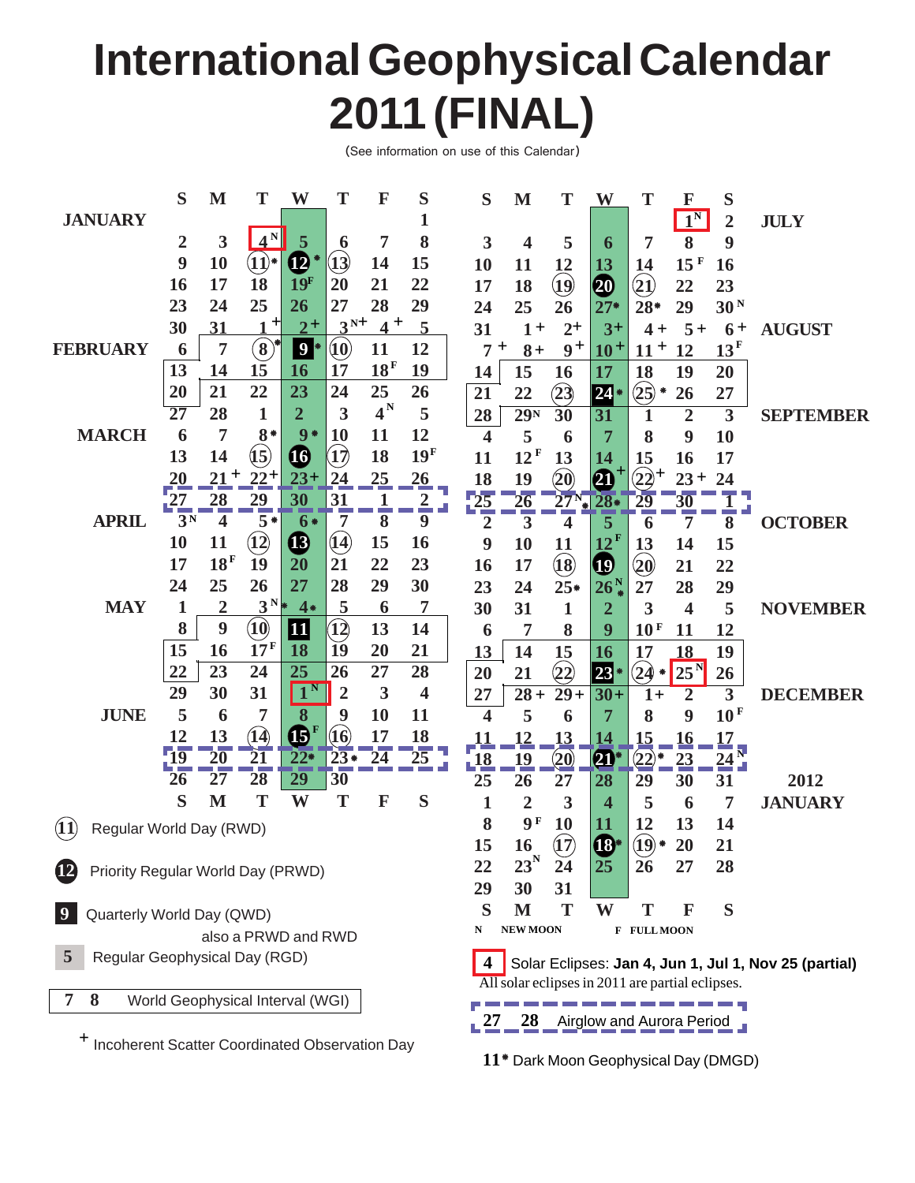# **International Geophysical Calendar 2011 (FINAL)**

(See information on use of this Calendar)

|                                                             | S                               | M                       | T                             | W                                                    | T                                                         | F               | S               | S                                                                       | M               | T                                  | W                       | T                                      | F                           | S                           |                  |
|-------------------------------------------------------------|---------------------------------|-------------------------|-------------------------------|------------------------------------------------------|-----------------------------------------------------------|-----------------|-----------------|-------------------------------------------------------------------------|-----------------|------------------------------------|-------------------------|----------------------------------------|-----------------------------|-----------------------------|------------------|
| <b>JANUARY</b>                                              |                                 |                         |                               |                                                      |                                                           |                 | 1               |                                                                         |                 |                                    |                         |                                        | $\mathbf{1}^{\overline{N}}$ | $\overline{2}$              | <b>JULY</b>      |
|                                                             | $\overline{2}$                  | 3                       | $4^N$                         | 5                                                    | 6                                                         | 7               | 8               | 3                                                                       | 4               | 5                                  | 6                       | 7                                      | 8                           | 9                           |                  |
|                                                             | 9                               | 10                      | $\widehat{\mathbf{U}}^*$      | $\boldsymbol{\Phi}$                                  | $\mathbf{13}$                                             | 14              | 15              | 10                                                                      | 11              | 12                                 | 13                      | 14                                     | 15 F                        | 16                          |                  |
|                                                             | 16                              | 17                      | 18                            | 19 <sup>F</sup>                                      | 20                                                        | 21              | 22              | 17                                                                      | 18              | $\mathbf{Q}$                       | ⑳                       | $\left( \mathbf{\underline{1}}\right)$ | 22                          | 23                          |                  |
|                                                             | 23                              | 24                      | 25                            | 26                                                   | 27                                                        | 28              | 29              | 24                                                                      | 25              | 26                                 | $27*$                   | $28*$                                  | 29                          | 30 <sup>N</sup>             |                  |
|                                                             | 30                              | 31                      | $\mathbf +$                   | $2^{+}$                                              | $3^{N+}$                                                  | $4^+$           | $\overline{5}$  | 31                                                                      | $1+$            | $2+$                               | $3+$                    | $4+$                                   | $5+$                        | $6+$                        | <b>AUGUST</b>    |
| <b>FEBRUARY</b>                                             | 6                               | 7                       | $\left( \bf{8}\right)$        | $\boldsymbol{9}$                                     | $\left( \hspace{-1pt}1\hspace{-1pt}0\hspace{-1pt}\right)$ | 11              | 12              | 7                                                                       | $\pm$<br>$8+$   | $9+$                               | $10+$                   | $11 +$                                 | 12                          | 13 <sup>F</sup>             |                  |
|                                                             | 13                              | 14                      | 15                            | 16                                                   | 17                                                        | 18 <sup>F</sup> | 19              | 14                                                                      | 15              | 16                                 | 17                      | 18                                     | 19                          | 20                          |                  |
|                                                             | 20                              | 21                      | 22                            | 23                                                   | 24                                                        | 25              | 26              | 21                                                                      | 22              | (23)                               | $24*$                   | $(25)*$                                | 26                          | 27                          |                  |
|                                                             | 27                              | 28                      | $\mathbf{1}$                  | $\overline{2}$                                       | 3                                                         | $4^N$           | 5               | 28                                                                      | 29 <sub>N</sub> | $\overline{30}$                    | 31                      | 1                                      | $\overline{2}$              | $\overline{3}$              | <b>SEPTEMBER</b> |
| <b>MARCH</b>                                                | 6                               | 7                       | $8*$                          | $9*$                                                 | 10                                                        | 11              | 12              | $\overline{\mathbf{4}}$                                                 | 5               | 6                                  | 7                       | 8                                      | 9                           | <b>10</b>                   |                  |
|                                                             | 13                              | 14                      | (15)                          | $\boldsymbol{\Phi}$                                  | $\mathbf{17}$                                             | 18              | 19 <sup>F</sup> | 11                                                                      | 12 <sup>F</sup> | 13                                 | 14                      | 15                                     | 16                          | 17                          |                  |
|                                                             | 20                              | $21 +$                  | $22^{+}$                      | $23+$                                                | 24                                                        | 25              | 26              | 18                                                                      | 19              | $\left( \mathbf{\hat{20}} \right)$ | $\boldsymbol{\Omega}$   | $(22)^+$                               | $23 +$                      | 24                          |                  |
|                                                             | 27                              | 28                      | $rac{29}{5}$                  | 30                                                   | 31                                                        | $\frac{1}{8}$   | $\frac{2}{\pi}$ | $\frac{25}{2}$                                                          | 26              | $27^{\rm N}$                       | $28*$                   | 29                                     | 30                          |                             |                  |
| <b>APRIL</b>                                                | 3 <sup>N</sup>                  | $\overline{\mathbf{4}}$ |                               | $6*$                                                 | 7                                                         |                 | 9               | $\overline{2}$                                                          | 3               | 4                                  | 5                       | 6                                      | 7                           | 8                           | <b>OCTOBER</b>   |
|                                                             | 10                              | 11                      | $\left( \overline{12}\right)$ | $\boldsymbol{\boldsymbol{\boldsymbol{ \textcirc}} }$ | $({\bf 14})$                                              | 15              | 16              | 9                                                                       | 10              | 11                                 | $12^{\rm F}$            | 13                                     | 14                          | 15                          |                  |
|                                                             | 17                              | 18 <sup>F</sup>         | 19                            | 20                                                   | 21                                                        | 22              | 23              | 16                                                                      | 17              | $\left( 18\right)$                 | $\boldsymbol{\Phi}$     | $\hat{20}$                             | 21                          | 22                          |                  |
|                                                             | 24                              | 25                      | 26                            | 27                                                   | 28                                                        | 29              | 30              | 23                                                                      | 24              | $25*$                              | 26 <sup>N</sup>         | 27                                     | 28                          | 29                          |                  |
| <b>MAY</b>                                                  | 1                               | $\overline{2}$          | $3^N*$                        | $4*$                                                 | 5                                                         | 6               | 7               | 30                                                                      | 31              | $\mathbf{1}$                       | $\overline{\mathbf{2}}$ | $\overline{\mathbf{3}}$                | $\overline{\mathbf{4}}$     | 5                           | <b>NOVEMBER</b>  |
|                                                             | 8                               | 9                       | $\widehat{\mathbf{10}}$       | 11                                                   | 12)                                                       | 13              | 14              | 6                                                                       | 7               | 8                                  | 9                       | 10 <sup>F</sup>                        | 11                          | 12                          |                  |
|                                                             | 15                              | 16                      | 17 <sup>F</sup>               | 18                                                   | 19                                                        | 20              | 21              | 13                                                                      | 14              | 15                                 | 16                      | 17                                     | 18                          | 19                          |                  |
|                                                             | 22                              | 23                      | 24                            | 25                                                   | 26                                                        | 27              | 28              | 20                                                                      | 21              | $\left( \! 2 \! 2 \! \right)$      | $23*$                   | (24)<br>۰                              | $25^{\rm N}$                | 26                          |                  |
|                                                             | 29                              | 30                      | 31                            | -N<br>$\mathbf{1}$                                   | $\overline{2}$                                            | 3               | 4               | 27                                                                      | $28 +$          | $29+$                              | $30+$                   | $1+$                                   | $\overline{2}$              | $\overline{\mathbf{3}}$     | <b>DECEMBER</b>  |
| <b>JUNE</b>                                                 | 5                               | 6                       | 7                             | 8                                                    | 9                                                         | 10              | 11              | $\overline{\mathbf{4}}$                                                 | 5               | 6                                  | 7                       | 8                                      | 9                           | 10 <sup>F</sup>             |                  |
|                                                             | 12                              | 13                      | (14)                          | $\bigoplus$ <sup>F</sup>                             | $\left(16\right)$                                         | 17              | 18              | <b>11</b>                                                               | <u>12</u>       | 13                                 | 14                      | 15                                     | <u>16</u>                   | 17                          |                  |
|                                                             | $\overline{19}$                 | $\overline{20}$         | $\overline{21}$               | $22*$                                                | $23*$                                                     | $\overline{24}$ | 25              | $\frac{18}{2}$                                                          | 19              | $\left( \mathbf{20}\right)$        | $\mathbf{a}^*$          | $\left(\overline{22}\right)$           | 23                          | $\frac{1}{24}$ <sub>N</sub> |                  |
|                                                             | 26                              | 27                      | $\overline{28}$               | $\overline{29}$                                      | 30                                                        |                 |                 | 25                                                                      | 26              | 27                                 | 28                      | 29                                     | 30                          | 31                          | 2012             |
|                                                             | S                               | M                       | T                             | W                                                    | T                                                         | F               | S               | $\mathbf{1}$                                                            | $\overline{2}$  | 3                                  | 4                       | 5                                      | 6                           | 7                           | <b>JANUARY</b>   |
| (11)<br>Regular World Day (RWD)                             |                                 |                         |                               |                                                      |                                                           |                 |                 | 8                                                                       | 9F              | 10                                 | 11                      | 12                                     | 13                          | 14                          |                  |
|                                                             |                                 |                         |                               |                                                      |                                                           |                 |                 | 15                                                                      | 16              | (17)                               | $\mathbf{C}^*$          | $\left( \overline{19}\right)$          | 20                          | 21                          |                  |
| $\boldsymbol{12}$<br>Priority Regular World Day (PRWD)      |                                 |                         |                               |                                                      |                                                           |                 |                 | 22                                                                      | $23^N$          | 24                                 | <b>25</b>               | 26                                     | 27                          | 28                          |                  |
|                                                             |                                 |                         |                               |                                                      |                                                           |                 |                 | 29                                                                      | 30              | 31                                 |                         |                                        |                             |                             |                  |
| Quarterly World Day (QWD)                                   |                                 |                         |                               |                                                      |                                                           |                 |                 | S                                                                       | M               | T                                  | W                       | Т                                      | $\mathbf F$                 | S                           |                  |
| also a PRWD and RWD                                         |                                 |                         |                               |                                                      |                                                           |                 | N               | <b>NEW MOON</b>                                                         |                 |                                    | F FULL MOON             |                                        |                             |                             |                  |
| 5                                                           | Regular Geophysical Day (RGD)   |                         |                               |                                                      |                                                           |                 |                 | Solar Eclipses: Jan 4, Jun 1, Jul 1, Nov 25 (partial)<br>$\overline{4}$ |                 |                                    |                         |                                        |                             |                             |                  |
| All solar eclipses in 2011 are partial eclipses.            |                                 |                         |                               |                                                      |                                                           |                 |                 |                                                                         |                 |                                    |                         |                                        |                             |                             |                  |
| 7<br>8<br>World Geophysical Interval (WGI)                  |                                 |                         |                               |                                                      |                                                           |                 |                 |                                                                         |                 |                                    |                         |                                        |                             |                             |                  |
|                                                             | 28<br>Airglow and Aurora Period |                         |                               |                                                      |                                                           |                 |                 |                                                                         |                 |                                    |                         |                                        |                             |                             |                  |
| <sup>+</sup> Incoherent Scatter Coordinated Observation Day |                                 |                         |                               |                                                      |                                                           |                 |                 |                                                                         |                 |                                    |                         |                                        |                             |                             |                  |

 **11** \* Dark Moon Geophysical Day (DMGD)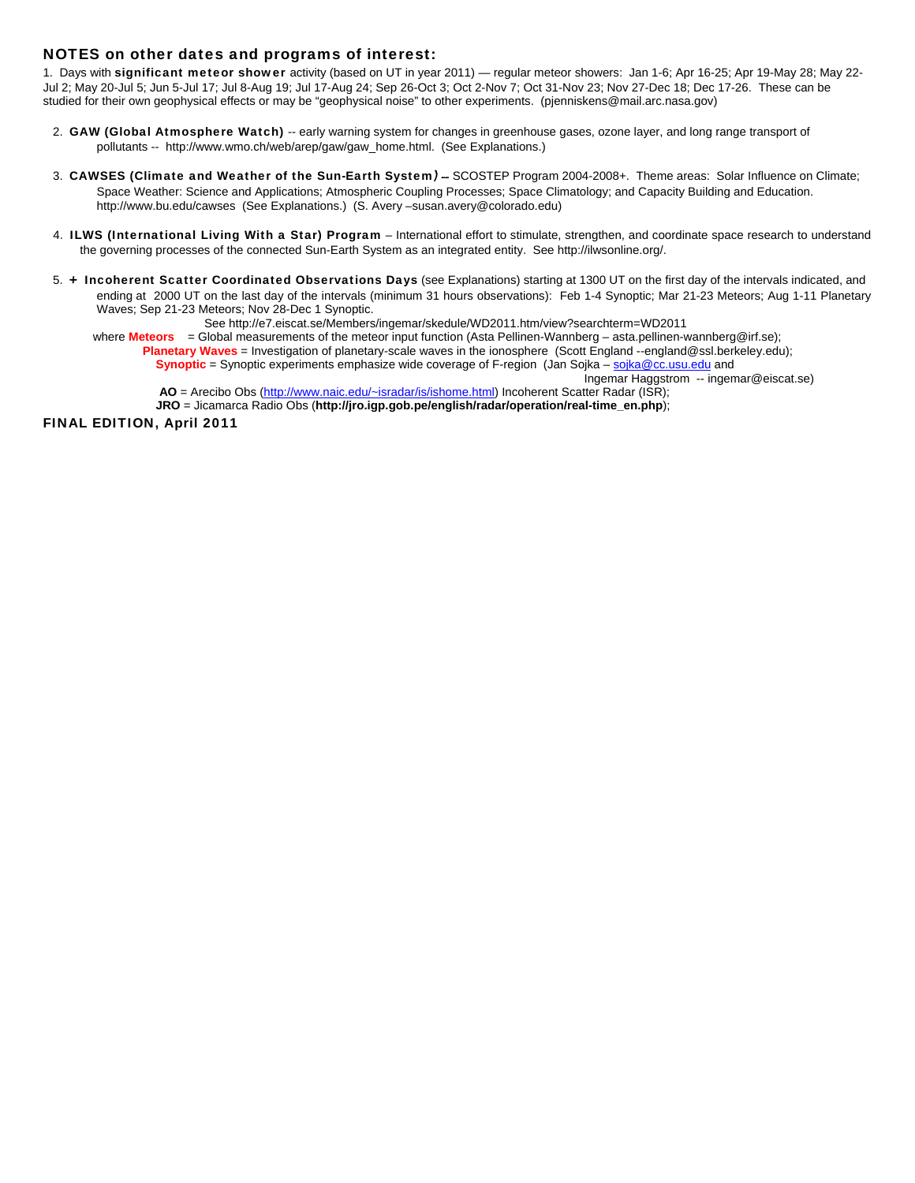## NOTES on other dates and programs of interest:

1. Days with significant meteor shower activity (based on UT in year 2011) — regular meteor showers: Jan 1-6; Apr 16-25; Apr 19-May 28; May 22-Jul 2; May 20-Jul 5; Jun 5-Jul 17; Jul 8-Aug 19; Jul 17-Aug 24; Sep 26-Oct 3; Oct 2-Nov 7; Oct 31-Nov 23; Nov 27-Dec 18; Dec 17-26. These can be studied for their own geophysical effects or may be "geophysical noise" to other experiments. (pjenniskens@mail.arc.nasa.gov)

- 2. GAW (Global Atmosphere Watch) -- early warning system for changes in greenhouse gases, ozone layer, and long range transport of pollutants -- http://www.wmo.ch/web/arep/gaw/gaw\_home.html. (See Explanations.)
- 3. CAWSES (Climate and Weather of the Sun-Earth System) -- SCOSTEP Program 2004-2008+. Theme areas: Solar Influence on Climate; Space Weather: Science and Applications; Atmospheric Coupling Processes; Space Climatology; and Capacity Building and Education. http://www.bu.edu/cawses (See Explanations.) (S. Avery –susan.avery@colorado.edu)
- 4. ILWS (International Living With a Star) Program International effort to stimulate, strengthen, and coordinate space research to understand the governing processes of the connected Sun-Earth System as an integrated entity. See http://ilwsonline.org/.
- 5. + Incoherent Scatter Coordinated Observations Days (see Explanations) starting at 1300 UT on the first day of the intervals indicated, and ending at 2000 UT on the last day of the intervals (minimum 31 hours observations): Feb 1-4 Synoptic; Mar 21-23 Meteors; Aug 1-11 Planetary Waves; Sep 21-23 Meteors; Nov 28-Dec 1 Synoptic.

See http://e7.eiscat.se/Members/ingemar/skedule/WD2011.htm/view?searchterm=WD2011

where Meteors = Global measurements of the meteor input function (Asta Pellinen-Wannberg – asta.pellinen-wannberg@irf.se);

**Planetary Waves** = Investigation of planetary-scale waves in the ionosphere (Scott England --england@ssl.berkeley.edu); **Synoptic** = Synoptic experiments emphasize wide coverage of F-region (Jan Sojka – sojka@cc.usu.edu and

Ingemar Haggstrom -- ingemar@eiscat.se)

 **AO** = Arecibo Obs (http://www.naic.edu/~isradar/is/ishome.html) Incoherent Scatter Radar (ISR);

**JRO** = Jicamarca Radio Obs (**http://jro.igp.gob.pe/english/radar/operation/real-time\_en.php**);

FINAL EDITION, April 2011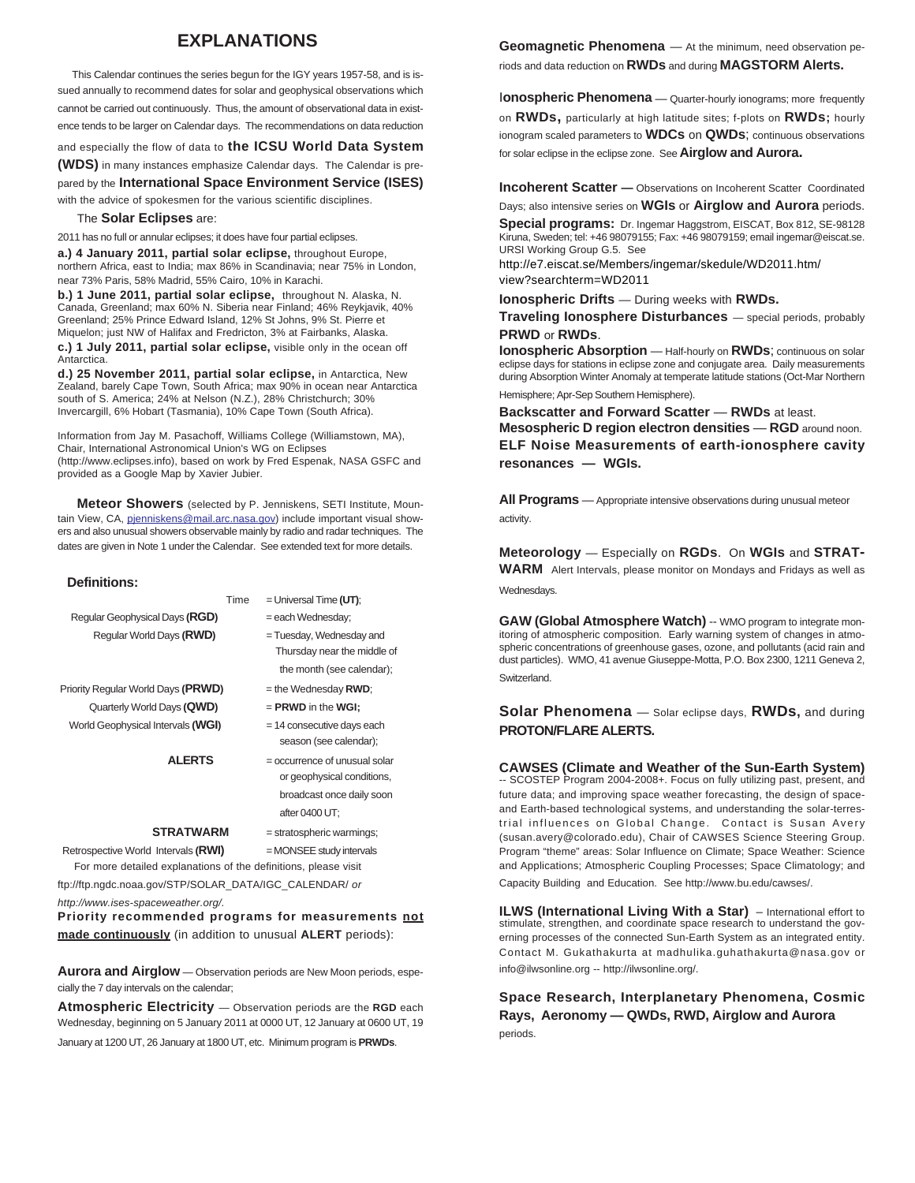# **EXPLANATIONS**

 This Calendar continues the series begun for the IGY years 1957-58, and is issued annually to recommend dates for solar and geophysical observations which cannot be carried out continuously. Thus, the amount of observational data in existence tends to be larger on Calendar days. The recommendations on data reduction

and especially the flow of data to **the ICSU World Data System (WDS)** in many instances emphasize Calendar days. The Calendar is prepared by the **International Space Environment Service (ISES)**

with the advice of spokesmen for the various scientific disciplines.

#### The **Solar Eclipses** are:

2011 has no full or annular eclipses; it does have four partial eclipses.

**a.) 4 January 2011, partial solar eclipse,** throughout Europe, northern Africa, east to India; max 86% in Scandinavia; near 75% in London, near 73% Paris, 58% Madrid, 55% Cairo, 10% in Karachi.

**b.) 1 June 2011, partial solar eclipse,** throughout N. Alaska, N. Canada, Greenland; max 60% N. Siberia near Finland; 46% Reykjavik, 40% Greenland; 25% Prince Edward Island, 12% St Johns, 9% St. Pierre et Miquelon; just NW of Halifax and Fredricton, 3% at Fairbanks, Alaska. **c.) 1 July 2011, partial solar eclipse,** visible only in the ocean off Antarctica.

**d.) 25 November 2011, partial solar eclipse,** in Antarctica, New Zealand, barely Cape Town, South Africa; max 90% in ocean near Antarctica south of S. America; 24% at Nelson (N.Z.), 28% Christchurch; 30% Invercargill, 6% Hobart (Tasmania), 10% Cape Town (South Africa).

Information from Jay M. Pasachoff, Williams College (Williamstown, MA), Chair, International Astronomical Union's WG on Eclipses (http://www.eclipses.info), based on work by Fred Espenak, NASA GSFC and provided as a Google Map by Xavier Jubier.

 **Meteor Showers** (selected by P. Jenniskens, SETI Institute, Mountain View, CA, pjenniskens@mail.arc.nasa.gov) include important visual showers and also unusual showers observable mainly by radio and radar techniques. The dates are given in Note 1 under the Calendar. See extended text for more details.

#### **Definitions:**

|                                                                 | Time                         | $=$ Universal Time (UT):      |  |  |  |  |
|-----------------------------------------------------------------|------------------------------|-------------------------------|--|--|--|--|
| Regular Geophysical Days (RGD)                                  |                              | = each Wednesday;             |  |  |  |  |
| Regular World Days (RWD)                                        |                              | = Tuesday, Wednesday and      |  |  |  |  |
|                                                                 |                              | Thursday near the middle of   |  |  |  |  |
|                                                                 |                              | the month (see calendar);     |  |  |  |  |
| Priority Regular World Days (PRWD)                              |                              | $=$ the Wednesday RWD;        |  |  |  |  |
| Quarterly World Days (QWD)                                      |                              | $=$ PRWD in the WGI:          |  |  |  |  |
| World Geophysical Intervals (WGI)                               | $= 14$ consecutive days each |                               |  |  |  |  |
|                                                                 |                              | season (see calendar);        |  |  |  |  |
| <b>ALERTS</b>                                                   |                              | = occurrence of unusual solar |  |  |  |  |
|                                                                 |                              | or geophysical conditions,    |  |  |  |  |
|                                                                 |                              | broadcast once daily soon     |  |  |  |  |
|                                                                 |                              | after 0400 UT:                |  |  |  |  |
| <b>STRATWARM</b>                                                |                              | = stratospheric warmings;     |  |  |  |  |
| Retrospective World Intervals (RWI)                             |                              | $=$ MONSEE study intervals    |  |  |  |  |
| For more detailed explanations of the definitions, please visit |                              |                               |  |  |  |  |

ftp://ftp.ngdc.noaa.gov/STP/SOLAR\_DATA/IGC\_CALENDAR/ *or*

*http://www.ises-spaceweather.org/.*

**Priority recommended programs for measurements not made continuously** (in addition to unusual **ALERT** periods):

**Aurora and Airglow** — Observation periods are New Moon periods, especially the 7 day intervals on the calendar;

**Atmospheric Electricity** — Observation periods are the **RGD** each Wednesday, beginning on 5 January 2011 at 0000 UT, 12 January at 0600 UT, 19 January at 1200 UT, 26 January at 1800 UT, etc. Minimum program is **PRWDs**.

**Geomagnetic Phenomena** — At the minimum, need observation periods and data reduction on **RWDs** and during **MAGSTORM Alerts.**

**Ionospheric Phenomena** — Quarter-hourly ionograms; more frequently on **RWDs,** particularly at high latitude sites; f-plots on **RWDs;** hourly ionogram scaled parameters to **WDCs** on **QWDs**; continuous observations for solar eclipse in the eclipse zone. See **Airglow and Aurora.**

**Incoherent Scatter —** Observations on Incoherent Scatter Coordinated Days; also intensive series on **WGIs** or **Airglow and Aurora** periods.

**Special programs:** Dr. Ingemar Haggstrom, EISCAT, Box 812, SE-98128 Kiruna, Sweden; tel: +46 98079155; Fax: +46 98079159; email ingemar@eiscat.se. URSI Working Group G.5. See

http://e7.eiscat.se/Members/ingemar/skedule/WD2011.htm/ view?searchterm=WD2011

**Ionospheric Drifts** — During weeks with **RWDs.**

**Traveling Ionosphere Disturbances** — special periods, probably **PRWD** or **RWDs**.

**Ionospheric Absorption** — Half-hourly on **RWDs**; continuous on solar eclipse days for stations in eclipse zone and conjugate area. Daily measurements during Absorption Winter Anomaly at temperate latitude stations (Oct-Mar Northern Hemisphere; Apr-Sep Southern Hemisphere).

**Backscatter and Forward Scatter** — **RWDs** at least. **Mesospheric D region electron densities** — **RGD** around noon. **ELF Noise Measurements of earth-ionosphere cavity resonances — WGIs.**

**All Programs** — Appropriate intensive observations during unusual meteor activity.

**Meteorology** — Especially on **RGDs**. On **WGIs** and **STRAT-WARM** Alert Intervals, please monitor on Mondays and Fridays as well as Wednesdays.

**GAW (Global Atmosphere Watch)** -- WMO program to integrate monitoring of atmospheric composition. Early warning system of changes in atmospheric concentrations of greenhouse gases, ozone, and pollutants (acid rain and dust particles). WMO, 41 avenue Giuseppe-Motta, P.O. Box 2300, 1211 Geneva 2, **Switzerland** 

### **Solar Phenomena** — Solar eclipse days, **RWDs,** and during **PROTON/FLARE ALERTS.**

**CAWSES (Climate and Weather of the Sun-Earth System)** -- SCOSTEP Program 2004-2008+. Focus on fully utilizing past, present, and future data; and improving space weather forecasting, the design of spaceand Earth-based technological systems, and understanding the solar-terrestrial influences on Global Change. Contact is Susan Avery (susan.avery@colorado.edu), Chair of CAWSES Science Steering Group. Program "theme" areas: Solar Influence on Climate; Space Weather: Science and Applications; Atmospheric Coupling Processes; Space Climatology; and Capacity Building and Education. See http://www.bu.edu/cawses/.

**ILWS (International Living With a Star)** – International effort to stimulate, strengthen, and coordinate space research to understand the governing processes of the connected Sun-Earth System as an integrated entity. Contact M. Gukathakurta at madhulika.guhathakurta@nasa.gov or info@ilwsonline.org -- http://ilwsonline.org/.

**Space Research, Interplanetary Phenomena, Cosmic Rays, Aeronomy — QWDs, RWD, Airglow and Aurora** periods.